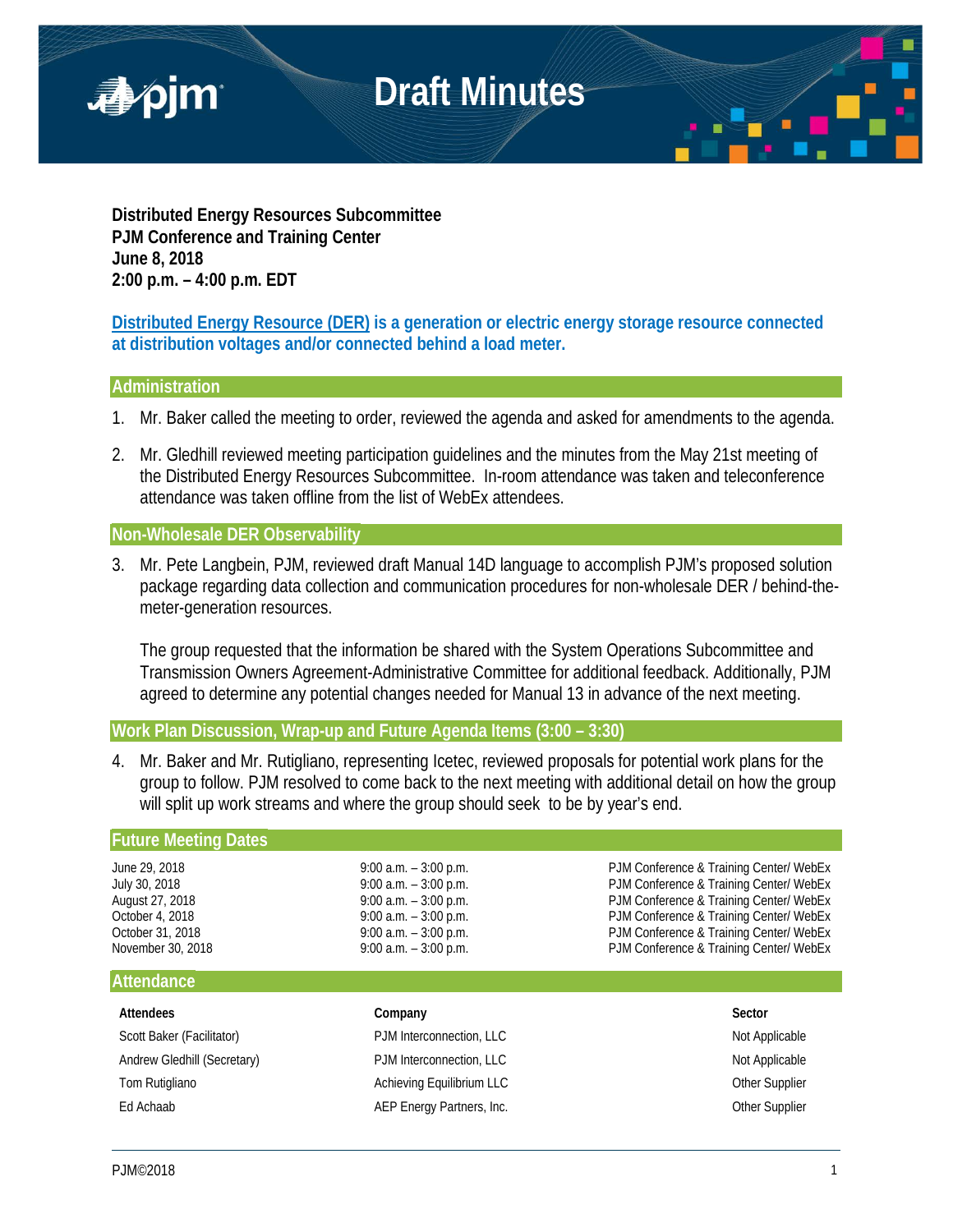

**Distributed Energy Resources Subcommittee PJM Conference and Training Center June 8, 2018 2:00 p.m. – 4:00 p.m. EDT**

**Distributed Energy Resource (DER) is a generation or electric energy storage resource connected at distribution voltages and/or connected behind a load meter.**

### **Administration**

- 1. Mr. Baker called the meeting to order, reviewed the agenda and asked for amendments to the agenda.
- 2. Mr. Gledhill reviewed meeting participation guidelines and the minutes from the May 21st meeting of the Distributed Energy Resources Subcommittee. In-room attendance was taken and teleconference attendance was taken offline from the list of WebEx attendees.

## **Non-Wholesale DER Observability**

3. Mr. Pete Langbein, PJM, reviewed draft Manual 14D language to accomplish PJM's proposed solution package regarding data collection and communication procedures for non-wholesale DER / behind-themeter-generation resources.

The group requested that the information be shared with the System Operations Subcommittee and Transmission Owners Agreement-Administrative Committee for additional feedback. Additionally, PJM agreed to determine any potential changes needed for Manual 13 in advance of the next meeting.

**Work Plan Discussion, Wrap-up and Future Agenda Items (3:00 – 3:30)**

4. Mr. Baker and Mr. Rutigliano, representing Icetec, reviewed proposals for potential work plans for the group to follow. PJM resolved to come back to the next meeting with additional detail on how the group will split up work streams and where the group should seek to be by year's end.

#### **Future Meeting Dates**

June 29, 2018 **19:00 a.m.** – 3:00 p.m. **PJM Conference & Training Center/ WebEx** July 30, 2018 9:00 a.m. – 3:00 p.m. PJM Conference & Training Center/ WebEx August 27, 2018 **19:00 a.m.** – 3:00 p.m. **PJM Conference & Training Center/ WebEx** October 4, 2018 **19:00 a.m.** – 3:00 p.m. **PJM Conference & Training Center/ WebEx**<br>October 31, 2018 **19:00 a.m.** – 3:00 p.m. PJM Conference & Training Center/ WebEx October 31, 2018 **19:00 a.m.** – 3:00 p.m. **PJM Conference & Training Center/ WebEx**<br>
9:00 a.m. – 3:00 p.m. PJM Conference & Training Center/ WebEx PJM Conference & Training Center/ WebEx

#### **Attendance**

| Attendees                   | Company                   | Sector                |
|-----------------------------|---------------------------|-----------------------|
| Scott Baker (Facilitator)   | PJM Interconnection, LLC  | Not Applicable        |
| Andrew Gledhill (Secretary) | PJM Interconnection, LLC  | Not Applicable        |
| Tom Rutigliano              | Achieving Equilibrium LLC | <b>Other Supplier</b> |
| Ed Achaab                   | AEP Energy Partners, Inc. | Other Supplier        |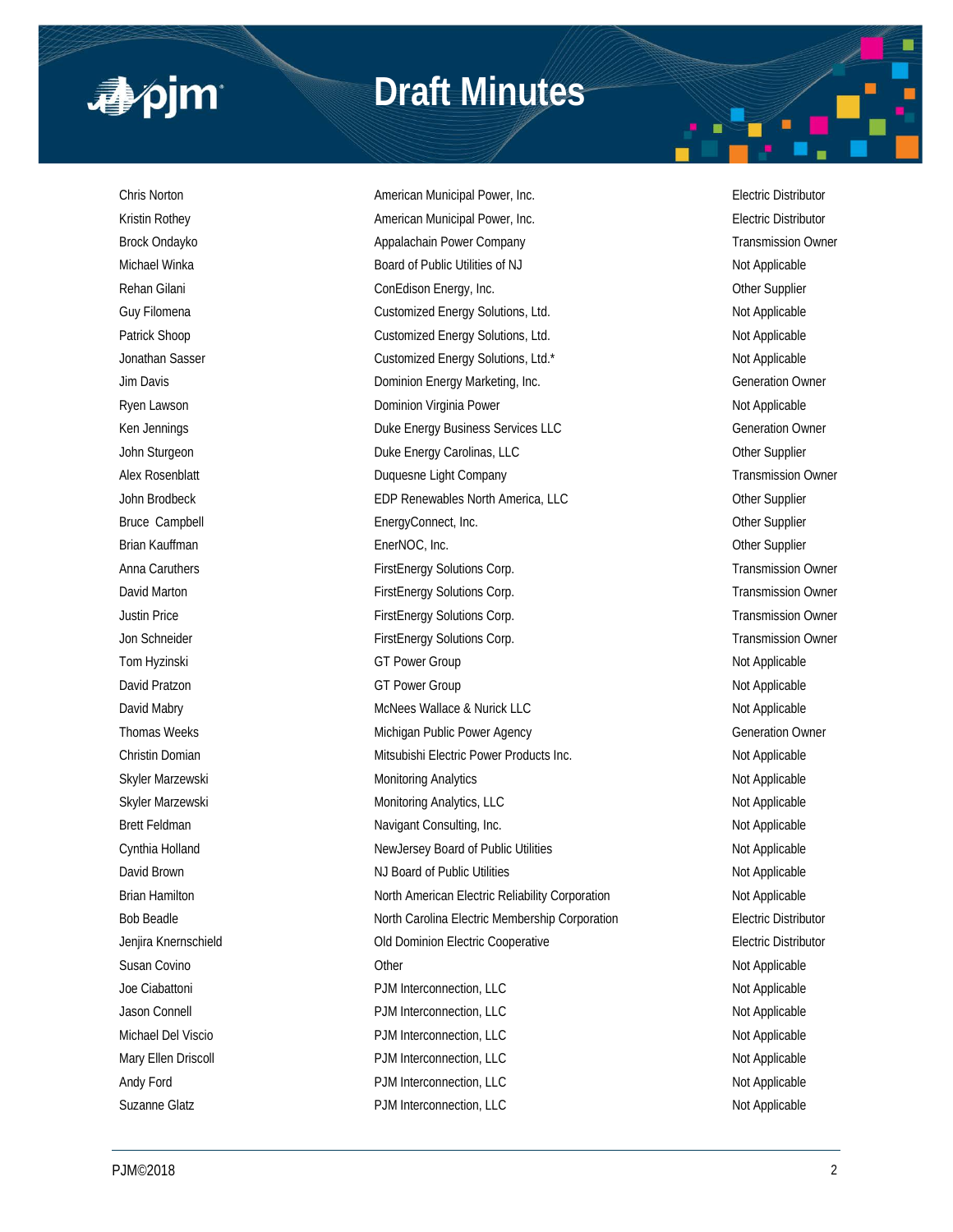

# **Draft Minutes**

Chris Norton American Municipal Power, Inc. Electric Distributor Kristin Rothey **American Municipal Power, Inc.** American Municipal Power, Inc. **Electric Distributor** Brock Ondayko **Appalachain Power Company Transmission Owner** Transmission Owner Company Transmission Owner Michael Winka **Board of Public Utilities of NJ** Not Applicable Not Applicable Rehan Gilani ConEdison Energy, Inc. Other Supplier Guy Filomena **Customized Energy Solutions, Ltd.** Not Applicable Customized Energy Solutions, Ltd. Patrick Shoop **Customized Energy Solutions, Ltd.** Not Applicable Not Applicable Jonathan Sasser **Customized Energy Solutions, Ltd.\*** Not Applicable Not Applicable Jim Davis **Dominion Energy Marketing, Inc.** Comment of Generation Owner Ryen Lawson **Not Applicable** Dominion Virginia Power Not Applicable Not Applicable Ken Jennings **Energy Business Services LLC** Generation Owner John Sturgeon **Duke Energy Carolinas, LLC** Character Communication of the Supplier Alex Rosenblatt **Alex Rosenblatt** Duquesne Light Company **Transmission Owner** Transmission Owner John Brodbeck **EDP Renewables North America, LLC** Christense Christense Christense America, CLC Bruce Campbell **EnergyConnect, Inc.** Communication Connect Communication Communication Communication Communication Brian Kauffman EnerNOC, Inc. Other Supplier Anna Caruthers **FirstEnergy Solutions Corp.** Transmission Owner Corp. Transmission Owner David Marton **FirstEnergy Solutions Corp.** Transmission Owner Corp. Transmission Owner Justin Price **FirstEnergy Solutions Corp.** FirstEnergy Solutions Corp. Transmission Owner Jon Schneider **FirstEnergy Solutions Corp.** Transmission Owner Corp. Tom Hyzinski **GT Power Group** CGT Power Group Not Applicable David Pratzon **COLL Accord COVERTS COVERTS** GT Power Group Not Applicable Not Applicable David Mabry **McNees Wallace & Nurick LLC** Not Applicable Not Applicable Thomas Weeks **Michigan Public Power Agency Michigan Public Power Agency Generation Owner** Christin Domian **Mitsubishi Electric Power Products Inc.** Not Applicable Not Applicable Skyler Marzewski **Monitoring Analytics** Monitoring Analytics Not Applicable Skyler Marzewski **Monitoring Analytics, LLC** Not Applicable Not Applicable Brett Feldman Navigant Consulting, Inc. Not Applicable Not Applicable Not Applicable Cynthia Holland New Your Supersey Board of Public Utilities Not Applicable Not Applicable David Brown NJ Board of Public Utilities Not Applicable Not Applicable Brian Hamilton North American Electric Reliability Corporation Not Applicable Not Applicable Bob Beadle **North Carolina Electric Membership Corporation** Electric Distributor Jenjira Knernschield Old Dominion Electric Cooperative Electric Distributor Susan Covino Other Not Applicable Joe Ciabattoni **Not Applicable** PJM Interconnection, LLC Not Applicable Not Applicable Jason Connell **Not Applicable** PJM Interconnection, LLC **Not Applicable** Not Applicable Michael Del Viscio **PJM Interconnection, LLC** Not Applicable Not Applicable Mary Ellen Driscoll **Natural PJM Interconnection, LLC** Not Applicable Not Applicable Andy Ford **PJM Interconnection, LLC** Andy Ford Not Applicable Suzanne Glatz **PJM Interconnection, LLC** Not Applicable Not Applicable